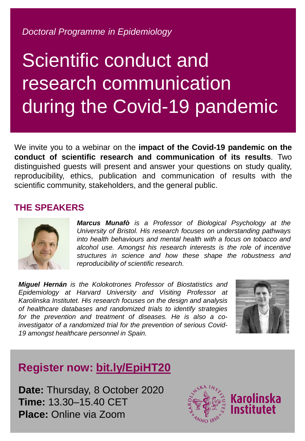*Doctoral Programme in Epidemiology*

# Scientific conduct and research communication during the Covid-19 pandemic

We invite you to a webinar on the **impact of the Covid-19 pandemic on the conduct of scientific research and communication of its results**. Two distinguished guests will present and answer your questions on study quality, reproducibility, ethics, publication and communication of results with the scientific community, stakeholders, and the general public.

#### **THE SPEAKERS**



*Marcus Munafò is a Professor of Biological Psychology at the University of Bristol. His research focuses on understanding pathways into health behaviours and mental health with a focus on tobacco and alcohol use. Amongst his research interests is the role of incentive structures in science and how these shape the robustness and reproducibility of scientific research.*

*Miguel Hernán is the Kolokotrones Professor of Biostatistics and Epidemiology at Harvard University and Visiting Professor at Karolinska Institutet. His research focuses on the design and analysis of healthcare databases and randomized trials to identify strategies for the prevention and treatment of diseases. He is also a coinvestigator of a randomized trial for the prevention of serious Covid-19 amongst healthcare personnel in Spain.*



## **Register now: [bit.ly/EpiHT20](https://bit.ly/EpiHT20)**

**Date:** Thursday, 8 October 2020 **Time:** 13.30–15.40 CET **Place:** Online via Zoom